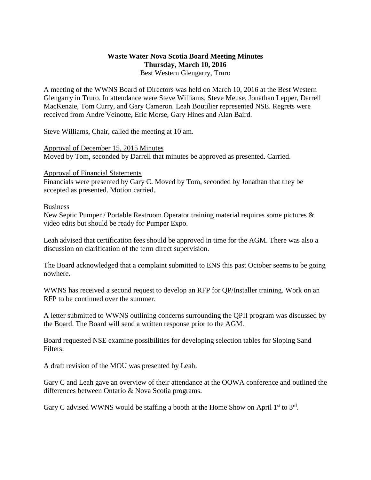## **Waste Water Nova Scotia Board Meeting Minutes Thursday, March 10, 2016** Best Western Glengarry, Truro

A meeting of the WWNS Board of Directors was held on March 10, 2016 at the Best Western Glengarry in Truro. In attendance were Steve Williams, Steve Meuse, Jonathan Lepper, Darrell MacKenzie, Tom Curry, and Gary Cameron. Leah Boutilier represented NSE. Regrets were received from Andre Veinotte, Eric Morse, Gary Hines and Alan Baird.

Steve Williams, Chair, called the meeting at 10 am.

Approval of December 15, 2015 Minutes Moved by Tom, seconded by Darrell that minutes be approved as presented. Carried.

## Approval of Financial Statements

Financials were presented by Gary C. Moved by Tom, seconded by Jonathan that they be accepted as presented. Motion carried.

## Business

New Septic Pumper / Portable Restroom Operator training material requires some pictures & video edits but should be ready for Pumper Expo.

Leah advised that certification fees should be approved in time for the AGM. There was also a discussion on clarification of the term direct supervision.

The Board acknowledged that a complaint submitted to ENS this past October seems to be going nowhere.

WWNS has received a second request to develop an RFP for QP/Installer training. Work on an RFP to be continued over the summer.

A letter submitted to WWNS outlining concerns surrounding the QPII program was discussed by the Board. The Board will send a written response prior to the AGM.

Board requested NSE examine possibilities for developing selection tables for Sloping Sand Filters.

A draft revision of the MOU was presented by Leah.

Gary C and Leah gave an overview of their attendance at the OOWA conference and outlined the differences between Ontario & Nova Scotia programs.

Gary C advised WWNS would be staffing a booth at the Home Show on April  $1<sup>st</sup>$  to  $3<sup>rd</sup>$ .